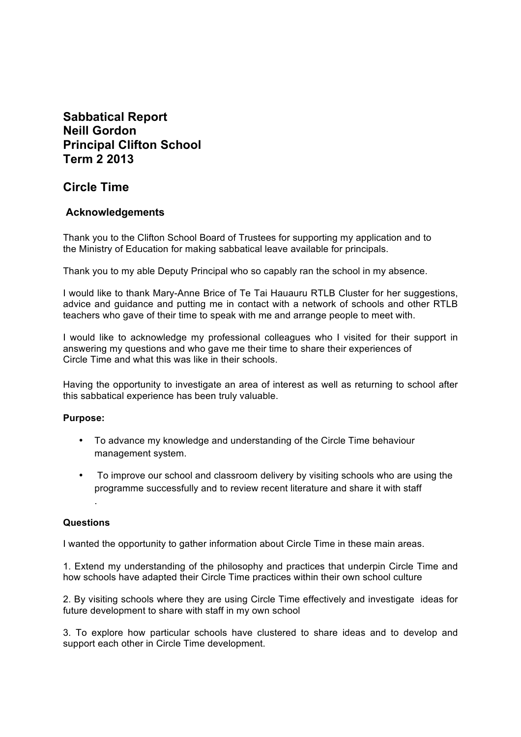# **Sabbatical Report Neill Gordon Principal Clifton School Term 2 2013**

# **Circle Time**

# **Acknowledgements**

Thank you to the Clifton School Board of Trustees for supporting my application and to the Ministry of Education for making sabbatical leave available for principals.

Thank you to my able Deputy Principal who so capably ran the school in my absence.

I would like to thank Mary-Anne Brice of Te Tai Hauauru RTLB Cluster for her suggestions, advice and guidance and putting me in contact with a network of schools and other RTLB teachers who gave of their time to speak with me and arrange people to meet with.

I would like to acknowledge my professional colleagues who I visited for their support in answering my questions and who gave me their time to share their experiences of Circle Time and what this was like in their schools.

Having the opportunity to investigate an area of interest as well as returning to school after this sabbatical experience has been truly valuable.

### **Purpose:**

- To advance my knowledge and understanding of the Circle Time behaviour management system.
- To improve our school and classroom delivery by visiting schools who are using the programme successfully and to review recent literature and share it with staff

### **Questions**

.

I wanted the opportunity to gather information about Circle Time in these main areas.

1. Extend my understanding of the philosophy and practices that underpin Circle Time and how schools have adapted their Circle Time practices within their own school culture

2. By visiting schools where they are using Circle Time effectively and investigate ideas for future development to share with staff in my own school

3. To explore how particular schools have clustered to share ideas and to develop and support each other in Circle Time development.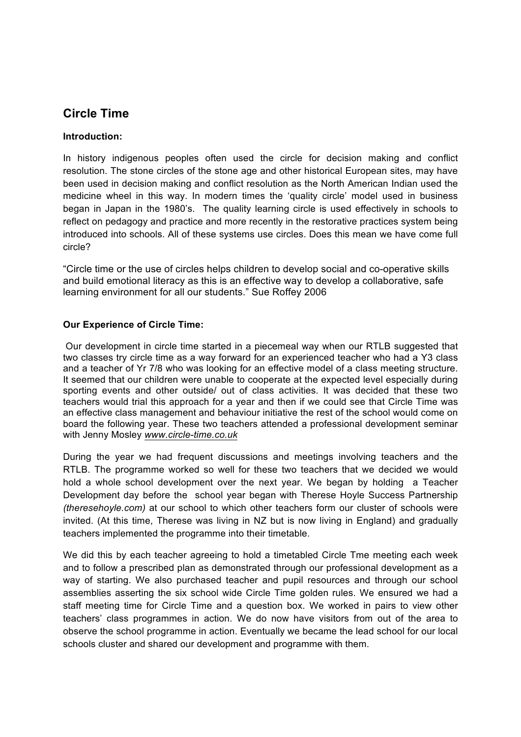# **Circle Time**

## **Introduction:**

In history indigenous peoples often used the circle for decision making and conflict resolution. The stone circles of the stone age and other historical European sites, may have been used in decision making and conflict resolution as the North American Indian used the medicine wheel in this way. In modern times the 'quality circle' model used in business began in Japan in the 1980's. The quality learning circle is used effectively in schools to reflect on pedagogy and practice and more recently in the restorative practices system being introduced into schools. All of these systems use circles. Does this mean we have come full circle?

"Circle time or the use of circles helps children to develop social and co-operative skills and build emotional literacy as this is an effective way to develop a collaborative, safe learning environment for all our students." Sue Roffey 2006

## **Our Experience of Circle Time:**

Our development in circle time started in a piecemeal way when our RTLB suggested that two classes try circle time as a way forward for an experienced teacher who had a Y3 class and a teacher of Yr 7/8 who was looking for an effective model of a class meeting structure. It seemed that our children were unable to cooperate at the expected level especially during sporting events and other outside/ out of class activities. It was decided that these two teachers would trial this approach for a year and then if we could see that Circle Time was an effective class management and behaviour initiative the rest of the school would come on board the following year. These two teachers attended a professional development seminar with Jenny Mosley *www.circle-time.co.uk* 

During the year we had frequent discussions and meetings involving teachers and the RTLB. The programme worked so well for these two teachers that we decided we would hold a whole school development over the next year. We began by holding a Teacher Development day before the school year began with Therese Hoyle Success Partnership *(theresehoyle.com)* at our school to which other teachers form our cluster of schools were invited. (At this time, Therese was living in NZ but is now living in England) and gradually teachers implemented the programme into their timetable.

We did this by each teacher agreeing to hold a timetabled Circle Tme meeting each week and to follow a prescribed plan as demonstrated through our professional development as a way of starting. We also purchased teacher and pupil resources and through our school assemblies asserting the six school wide Circle Time golden rules. We ensured we had a staff meeting time for Circle Time and a question box. We worked in pairs to view other teachers' class programmes in action. We do now have visitors from out of the area to observe the school programme in action. Eventually we became the lead school for our local schools cluster and shared our development and programme with them.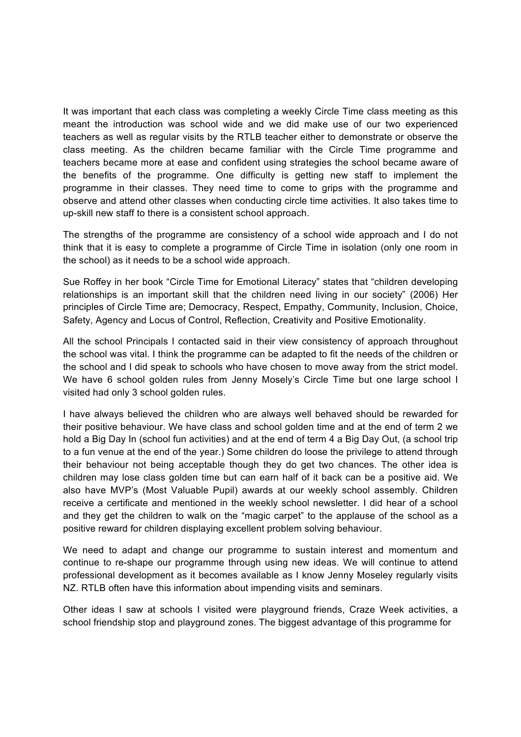It was important that each class was completing a weekly Circle Time class meeting as this meant the introduction was school wide and we did make use of our two experienced teachers as well as regular visits by the RTLB teacher either to demonstrate or observe the class meeting. As the children became familiar with the Circle Time programme and teachers became more at ease and confident using strategies the school became aware of the benefits of the programme. One difficulty is getting new staff to implement the programme in their classes. They need time to come to grips with the programme and observe and attend other classes when conducting circle time activities. It also takes time to up-skill new staff to there is a consistent school approach.

The strengths of the programme are consistency of a school wide approach and I do not think that it is easy to complete a programme of Circle Time in isolation (only one room in the school) as it needs to be a school wide approach.

Sue Roffey in her book "Circle Time for Emotional Literacy" states that "children developing relationships is an important skill that the children need living in our society" (2006) Her principles of Circle Time are; Democracy, Respect, Empathy, Community, Inclusion, Choice, Safety, Agency and Locus of Control, Reflection, Creativity and Positive Emotionality.

All the school Principals I contacted said in their view consistency of approach throughout the school was vital. I think the programme can be adapted to fit the needs of the children or the school and I did speak to schools who have chosen to move away from the strict model. We have 6 school golden rules from Jenny Mosely's Circle Time but one large school I visited had only 3 school golden rules.

I have always believed the children who are always well behaved should be rewarded for their positive behaviour. We have class and school golden time and at the end of term 2 we hold a Big Day In (school fun activities) and at the end of term 4 a Big Day Out, (a school trip to a fun venue at the end of the year.) Some children do loose the privilege to attend through their behaviour not being acceptable though they do get two chances. The other idea is children may lose class golden time but can earn half of it back can be a positive aid. We also have MVP's (Most Valuable Pupil) awards at our weekly school assembly. Children receive a certificate and mentioned in the weekly school newsletter. I did hear of a school and they get the children to walk on the "magic carpet" to the applause of the school as a positive reward for children displaying excellent problem solving behaviour.

We need to adapt and change our programme to sustain interest and momentum and continue to re-shape our programme through using new ideas. We will continue to attend professional development as it becomes available as I know Jenny Moseley regularly visits NZ. RTLB often have this information about impending visits and seminars.

Other ideas I saw at schools I visited were playground friends, Craze Week activities, a school friendship stop and playground zones. The biggest advantage of this programme for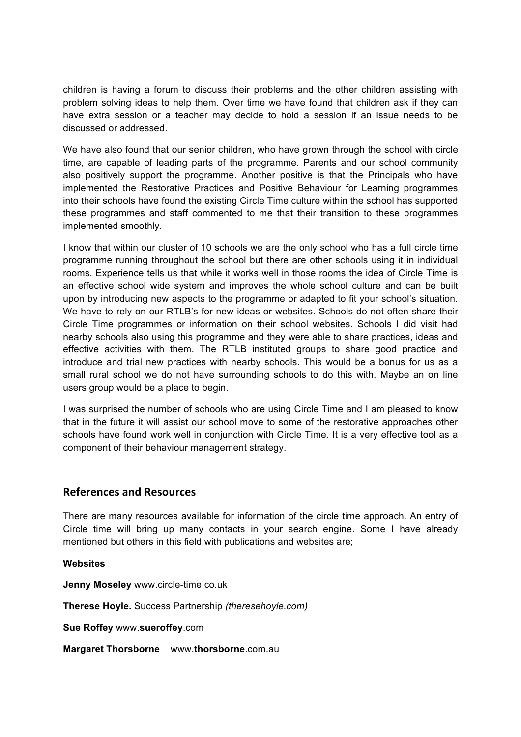children is having a forum to discuss their problems and the other children assisting with problem solving ideas to help them. Over time we have found that children ask if they can have extra session or a teacher may decide to hold a session if an issue needs to be discussed or addressed.

We have also found that our senior children, who have grown through the school with circle time, are capable of leading parts of the programme. Parents and our school community also positively support the programme. Another positive is that the Principals who have implemented the Restorative Practices and Positive Behaviour for Learning programmes into their schools have found the existing Circle Time culture within the school has supported these programmes and staff commented to me that their transition to these programmes implemented smoothly.

I know that within our cluster of 10 schools we are the only school who has a full circle time programme running throughout the school but there are other schools using it in individual rooms. Experience tells us that while it works well in those rooms the idea of Circle Time is an effective school wide system and improves the whole school culture and can be built upon by introducing new aspects to the programme or adapted to fit your school's situation. We have to rely on our RTLB's for new ideas or websites. Schools do not often share their Circle Time programmes or information on their school websites. Schools I did visit had nearby schools also using this programme and they were able to share practices, ideas and effective activities with them. The RTLB instituted groups to share good practice and introduce and trial new practices with nearby schools. This would be a bonus for us as a small rural school we do not have surrounding schools to do this with. Maybe an on line users group would be a place to begin.

I was surprised the number of schools who are using Circle Time and I am pleased to know that in the future it will assist our school move to some of the restorative approaches other schools have found work well in conjunction with Circle Time. It is a very effective tool as a component of their behaviour management strategy.

### **References and Resources**

There are many resources available for information of the circle time approach. An entry of Circle time will bring up many contacts in your search engine. Some I have already mentioned but others in this field with publications and websites are;

**Websites**

**Jenny Moseley** www.circle-time.co.uk

**Therese Hoyle.** Success Partnership *(theresehoyle.com)*

**Sue Roffey** www.**sueroffey**.com

**Margaret Thorsborne** www.**thorsborne**.com.au